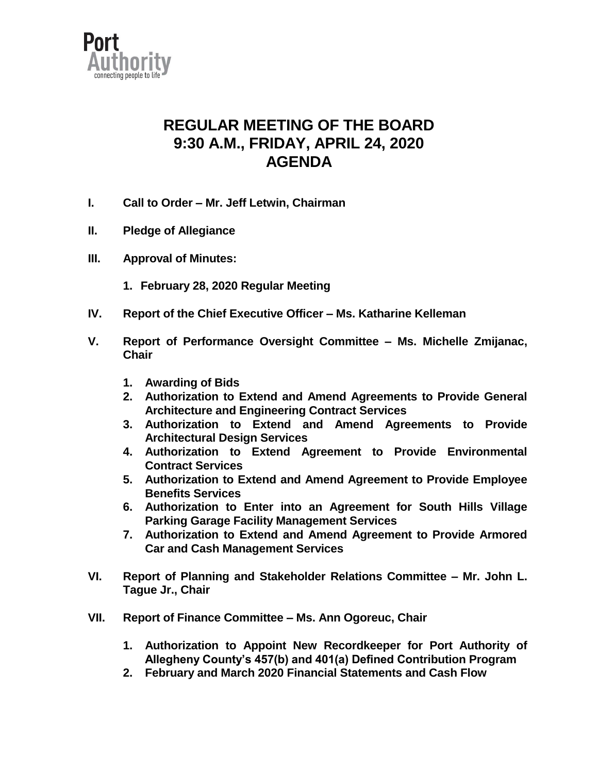

## **REGULAR MEETING OF THE BOARD 9:30 A.M., FRIDAY, APRIL 24, 2020 AGENDA**

- **I. Call to Order – Mr. Jeff Letwin, Chairman**
- **II. Pledge of Allegiance**
- **III. Approval of Minutes:**
	- **1. February 28, 2020 Regular Meeting**
- **IV. Report of the Chief Executive Officer – Ms. Katharine Kelleman**
- **V. Report of Performance Oversight Committee – Ms. Michelle Zmijanac, Chair**
	- **1. Awarding of Bids**
	- **2. Authorization to Extend and Amend Agreements to Provide General Architecture and Engineering Contract Services**
	- **3. Authorization to Extend and Amend Agreements to Provide Architectural Design Services**
	- **4. Authorization to Extend Agreement to Provide Environmental Contract Services**
	- **5. Authorization to Extend and Amend Agreement to Provide Employee Benefits Services**
	- **6. Authorization to Enter into an Agreement for South Hills Village Parking Garage Facility Management Services**
	- **7. Authorization to Extend and Amend Agreement to Provide Armored Car and Cash Management Services**
- **VI. Report of Planning and Stakeholder Relations Committee – Mr. John L. Tague Jr., Chair**
- **VII. Report of Finance Committee – Ms. Ann Ogoreuc, Chair**
	- **1. Authorization to Appoint New Recordkeeper for Port Authority of Allegheny County's 457(b) and 401(a) Defined Contribution Program**
	- **2. February and March 2020 Financial Statements and Cash Flow**